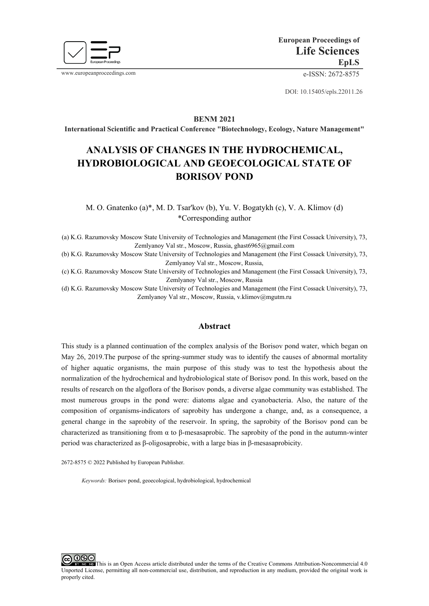

www.europeanproceedings.com e-ISSN: 2672-8575

DOI: 10.15405/epls.22011.26

**BENM 2021**

**International Scientific and Practical Conference "Biotechnology, Ecology, Nature Management"**

# **ANALYSIS OF CHANGES IN THE HYDROCHEMICAL, HYDROBIOLOGICAL AND GEOECOLOGICAL STATE OF BORISOV POND**

M. O. Gnatenko (a)\*, M. D. Tsar'kov (b), Yu. V. Bogatykh (с), V. A. Klimov (d) \*Corresponding author

(a) K.G. Razumovsky Moscow State University of Technologies and Management (the First Cossack University), 73, Zemlyanoy Val str., Moscow, Russia, ghast6965@gmail.com

(b) K.G. Razumovsky Moscow State University of Technologies and Management (the First Cossack University), 73, Zemlyanoy Val str., Moscow, Russia,

(c) K.G. Razumovsky Moscow State University of Technologies and Management (the First Cossack University), 73, Zemlyanoy Val str., Moscow, Russia

(d) K.G. Razumovsky Moscow State University of Technologies and Management (the First Cossack University), 73, Zemlyanoy Val str., Moscow, Russia, v.klimov@mgutm.ru

## **Abstract**

This study is a planned continuation of the complex analysis of the Borisov pond water, which began on May 26, 2019.The purpose of the spring-summer study was to identify the causes of abnormal mortality of higher aquatic organisms, the main purpose of this study was to test the hypothesis about the normalization of the hydrochemical and hydrobiological state of Borisov pond. In this work, based on the results of research on the algoflora of the Borisov ponds, a diverse algae community was established. The most numerous groups in the pond were: diatoms algae and cyanobacteria. Also, the nature of the composition of organisms-indicators of saprobity has undergone a change, and, as a consequence, a general change in the saprobity of the reservoir. In spring, the saprobity of the Borisov pond can be characterized as transitioning from α to β-mesasaprobic. The saprobity of the pond in the autumn-winter period was characterized as β-oligosaprobic, with a large bias in β-mesasaprobicity.

2672-8575 © 2022 Published by European Publisher.

*Keywords:* Borisov pond, geoecological, hydrobiological, hydrochemical

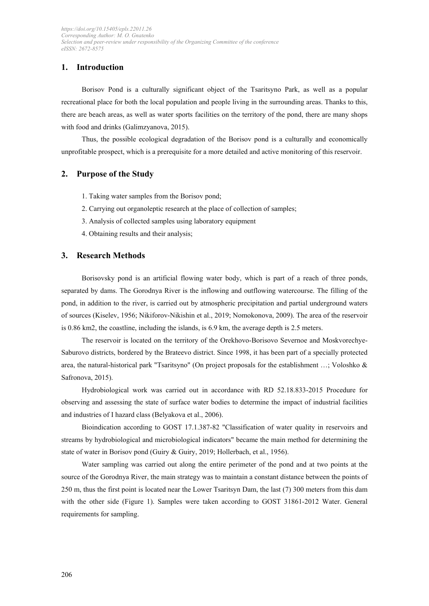# **1. Introduction**

Borisov Pond is a culturally significant object of the Tsaritsyno Park, as well as a popular recreational place for both the local population and people living in the surrounding areas. Thanks to this, there are beach areas, as well as water sports facilities on the territory of the pond, there are many shops with food and drinks (Galimzyanova, 2015).

Thus, the possible ecological degradation of the Borisov pond is a culturally and economically unprofitable prospect, which is a prerequisite for a more detailed and active monitoring of this reservoir.

# **2. Purpose of the Study**

- 1. Taking water samples from the Borisov pond;
- 2. Carrying out organoleptic research at the place of collection of samples;
- 3. Analysis of collected samples using laboratory equipment
- 4. Obtaining results and their analysis;

## **3. Research Methods**

Borisovsky pond is an artificial flowing water body, which is part of a reach of three ponds, separated by dams. The Gorodnya River is the inflowing and outflowing watercourse. The filling of the pond, in addition to the river, is carried out by atmospheric precipitation and partial underground waters of sources (Kiselev, 1956; Nikiforov-Nikishin et al., 2019; Nomokonova, 2009). The area of the reservoir is 0.86 km2, the coastline, including the islands, is 6.9 km, the average depth is 2.5 meters.

The reservoir is located on the territory of the Orekhovo-Borisovo Severnoe and Moskvorechye-Saburovo districts, bordered by the Brateevo district. Since 1998, it has been part of a specially protected area, the natural-historical park "Tsaritsyno" (On project proposals for the establishment …; Voloshko & Safronova, 2015).

Hydrobiological work was carried out in accordance with RD 52.18.833-2015 Procedure for observing and assessing the state of surface water bodies to determine the impact of industrial facilities and industries of I hazard class (Belyakova et al., 2006).

Bioindication according to GOST 17.1.387-82 "Classification of water quality in reservoirs and streams by hydrobiological and microbiological indicators" became the main method for determining the state of water in Borisov pond (Guiry & Guiry, 2019; Hollerbach, et al., 1956).

Water sampling was carried out along the entire perimeter of the pond and at two points at the source of the Gorodnya River, the main strategy was to maintain a constant distance between the points of 250 m, thus the first point is located near the Lower Tsaritsyn Dam, the last (7) 300 meters from this dam with the other side (Figure 1). Samples were taken according to GOST 31861-2012 Water. General requirements for sampling.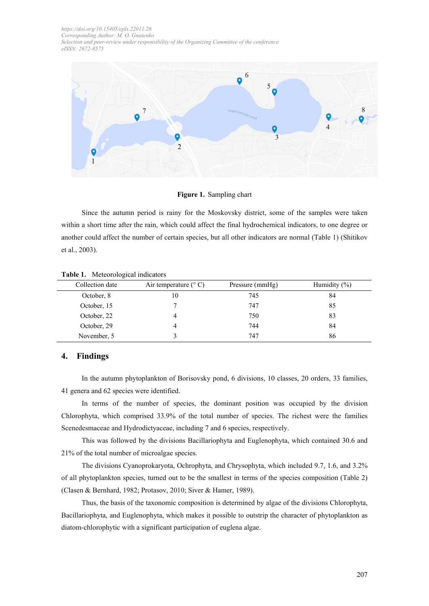

#### **Figure 1.** Sampling chart

Since the autumn period is rainy for the Moskovsky district, some of the samples were taken within a short time after the rain, which could affect the final hydrochemical indicators, to one degree or another could affect the number of certain species, but all other indicators are normal (Table 1) (Shitikov et al., 2003).

| Collection date | Air temperature $(^{\circ}C)$ | Pressure (mmHg) | Humidity $(\% )$ |
|-----------------|-------------------------------|-----------------|------------------|
| October, 8      | 10                            | 745             | 84               |
| October, 15     |                               | 747             | 85               |
| October, 22     |                               | 750             | 83               |
| October, 29     |                               | 744             | 84               |
| November, 5     |                               | 747             | 86               |

#### **Table 1.** Meteorological indicators

### **4. Findings**

In the autumn phytoplankton of Borisovsky pond, 6 divisions, 10 classes, 20 orders, 33 families, 41 genera and 62 species were identified.

In terms of the number of species, the dominant position was occupied by the division Chlorophyta, which comprised 33.9% of the total number of species. The richest were the families Scenedesmaceae and Hydrodictyaceae, including 7 and 6 species, respectively.

This was followed by the divisions Bacillariophyta and Euglenophyta, which contained 30.6 and 21% of the total number of microalgae species.

The divisions Cyanoprokaryota, Ochrophyta, and Chrysophyta, which included 9.7, 1.6, and 3.2% of all phytoplankton species, turned out to be the smallest in terms of the species composition (Table 2) (Clasen & Bernhard, 1982; Protasov, 2010; Siver & Hamer, 1989).

Thus, the basis of the taxonomic composition is determined by algae of the divisions Chlorophyta, Bacillariophyta, and Euglenophyta, which makes it possible to outstrip the character of phytoplankton as diatom-chlorophytic with a significant participation of euglena algae.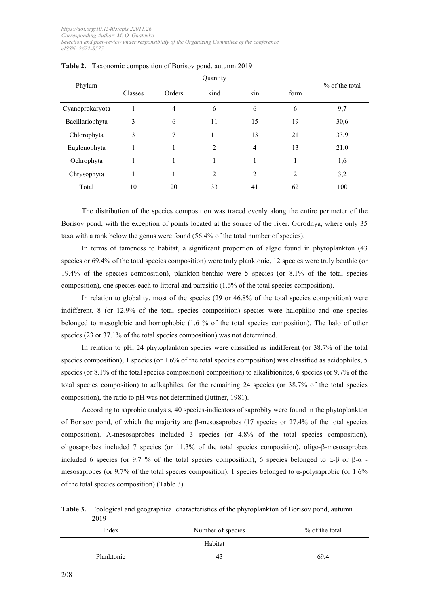| Phylum          | Quantity |        |                |                | $%$ of the total |      |
|-----------------|----------|--------|----------------|----------------|------------------|------|
|                 | Classes  | Orders | kind           | kin            | form             |      |
| Cyanoprokaryota |          | 4      | 6              | 6              | 6                | 9,7  |
| Bacillariophyta | 3        | 6      | 11             | 15             | 19               | 30,6 |
| Chlorophyta     | 3        | 7      | 11             | 13             | 21               | 33,9 |
| Euglenophyta    | 1        | 1      | $\overline{2}$ | $\overline{4}$ | 13               | 21,0 |
| Ochrophyta      | 1        | 1      | -1             | 1              |                  | 1,6  |
| Chrysophyta     | 1        | 1      | $\overline{2}$ | 2              | $\overline{2}$   | 3,2  |
| Total           | 10       | 20     | 33             | 41             | 62               | 100  |

|  |  | <b>Table 2.</b> Taxonomic composition of Borisov pond, autumn 2019 |
|--|--|--------------------------------------------------------------------|
|  |  |                                                                    |

The distribution of the species composition was traced evenly along the entire perimeter of the Borisov pond, with the exception of points located at the source of the river. Gorodnya, where only 35 taxa with a rank below the genus were found (56.4% of the total number of species).

In terms of tameness to habitat, a significant proportion of algae found in phytoplankton (43 species or 69.4% of the total species composition) were truly planktonic, 12 species were truly benthic (or 19.4% of the species composition), plankton-benthic were 5 species (or 8.1% of the total species composition), one species each to littoral and parasitic (1.6% of the total species composition).

In relation to globality, most of the species (29 or 46.8% of the total species composition) were indifferent, 8 (or 12.9% of the total species composition) species were halophilic and one species belonged to mesoglobic and homophobic (1.6 % of the total species composition). The halo of other species (23 or 37.1% of the total species composition) was not determined.

In relation to pH, 24 phytoplankton species were classified as indifferent (or 38.7% of the total species composition), 1 species (or 1.6% of the total species composition) was classified as acidophiles, 5 species (or 8.1% of the total species composition) composition) to alkalibionites, 6 species (or 9.7% of the total species composition) to aclkaphiles, for the remaining 24 species (or 38.7% of the total species composition), the ratio to pH was not determined (Juttner, 1981).

According to saprobic analysis, 40 species-indicators of saprobity were found in the phytoplankton of Borisov pond, of which the majority are β-mesosaprobes (17 species or 27.4% of the total species composition). Α-mesosaprobes included 3 species (or 4.8% of the total species composition), oligosaprobes included 7 species (or 11.3% of the total species composition), oligo-β-mesosaprobes included 6 species (or 9.7 % of the total species composition), 6 species belonged to  $\alpha$ -β or β-α mesosaprobes (or 9.7% of the total species composition), 1 species belonged to  $\alpha$ -polysaprobic (or 1.6% of the total species composition) (Table 3).

**Table 3.** Ecological and geographical characteristics of the phytoplankton of Borisov pond, autumn 2019

| Index      | Number of species | % of the total |
|------------|-------------------|----------------|
|            | Habitat           |                |
| Planktonic | 43                | 69,4           |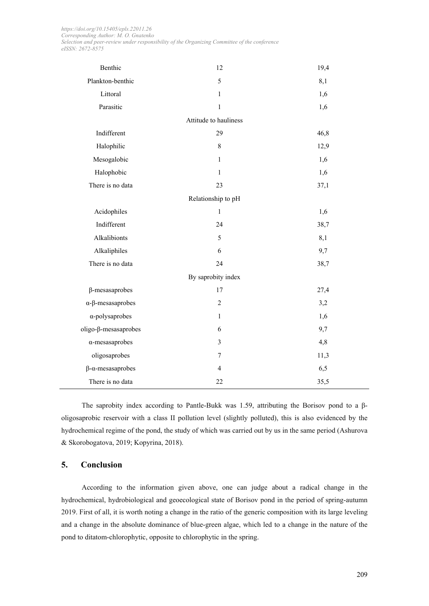| Benthic                          | 12                    | 19,4 |
|----------------------------------|-----------------------|------|
| Plankton-benthic                 | 5                     | 8,1  |
| Littoral                         | $\mathbf{1}$          | 1,6  |
| Parasitic                        | $\mathbf{1}$          | 1,6  |
|                                  | Attitude to hauliness |      |
| Indifferent                      | 29                    | 46,8 |
| Halophilic                       | $\,8\,$               | 12,9 |
| Mesogalobic                      | $\mathbf{1}$          | 1,6  |
| Halophobic                       | $\mathbf{1}$          | 1,6  |
| There is no data                 | 23                    | 37,1 |
|                                  | Relationship to pH    |      |
| Acidophiles                      | $\mathbf{1}$          | 1,6  |
| Indifferent                      | 24                    | 38,7 |
| Alkalibionts                     | 5                     | 8,1  |
| Alkaliphiles                     | 6                     | 9,7  |
| There is no data                 | 24                    | 38,7 |
|                                  | By saprobity index    |      |
| $\beta$ -mesasaprobes            | 17                    | 27,4 |
| $\alpha$ - $\beta$ -mesasaprobes | $\overline{2}$        | 3,2  |
| $\alpha$ -polysaprobes           | $\mathbf{1}$          | 1,6  |
| oligo-β-mesasaprobes             | 6                     | 9,7  |
| $\alpha$ -mesasaprobes           | $\overline{3}$        | 4,8  |
| oligosaprobes                    | $\boldsymbol{7}$      | 11,3 |
| $\beta$ - $\alpha$ -mesasaprobes | $\overline{4}$        | 6,5  |
| There is no data                 | 22                    | 35,5 |

The saprobity index according to Pantle-Bukk was 1.59, attributing the Borisov pond to a βoligosaprobic reservoir with a class II pollution level (slightly polluted), this is also evidenced by the hydrochemical regime of the pond, the study of which was carried out by us in the same period (Ashurova & Skorobogatova, 2019; Kopyrina, 2018).

## **5. Conclusion**

According to the information given above, one can judge about a radical change in the hydrochemical, hydrobiological and geoecological state of Borisov pond in the period of spring-autumn 2019. First of all, it is worth noting a change in the ratio of the generic composition with its large leveling and a change in the absolute dominance of blue-green algae, which led to a change in the nature of the pond to ditatom-chlorophytic, opposite to chlorophytic in the spring.